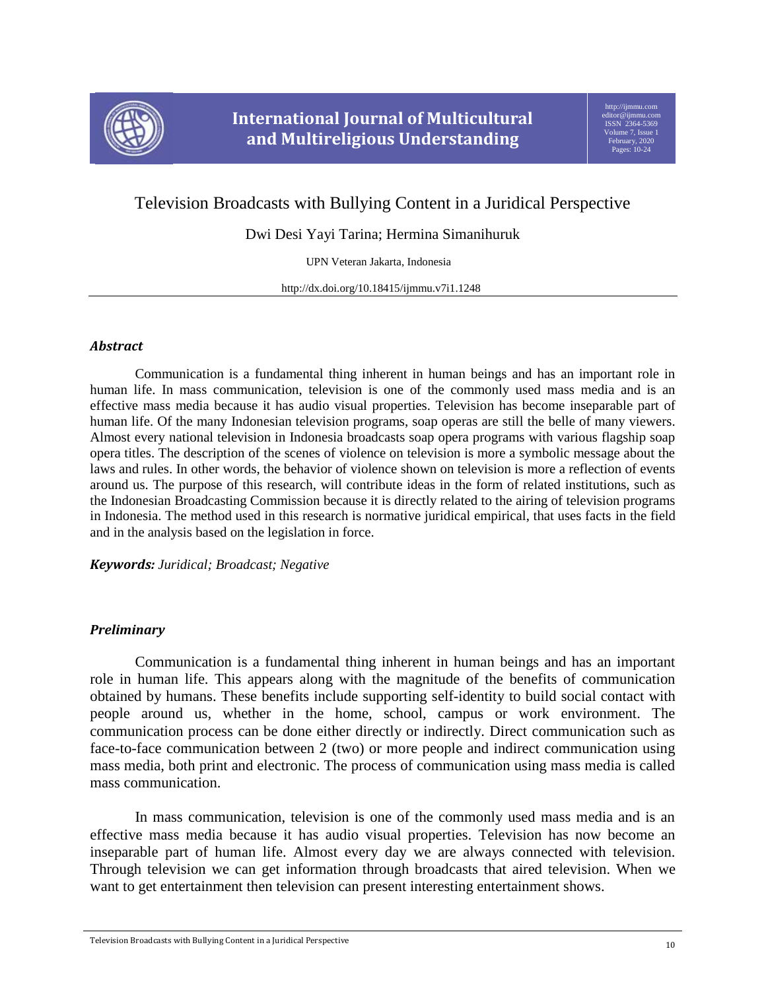

# Television Broadcasts with Bullying Content in a Juridical Perspective

Dwi Desi Yayi Tarina; Hermina Simanihuruk

UPN Veteran Jakarta, Indonesia

http://dx.doi.org/10.18415/ijmmu.v7i1.1248

## *Abstract*

Communication is a fundamental thing inherent in human beings and has an important role in human life. In mass communication, television is one of the commonly used mass media and is an effective mass media because it has audio visual properties. Television has become inseparable part of human life. Of the many Indonesian television programs, soap operas are still the belle of many viewers. Almost every national television in Indonesia broadcasts soap opera programs with various flagship soap opera titles. The description of the scenes of violence on television is more a symbolic message about the laws and rules. In other words, the behavior of violence shown on television is more a reflection of events around us. The purpose of this research, will contribute ideas in the form of related institutions, such as the Indonesian Broadcasting Commission because it is directly related to the airing of television programs in Indonesia. The method used in this research is normative juridical empirical, that uses facts in the field and in the analysis based on the legislation in force.

*Keywords: Juridical; Broadcast; Negative*

# *Preliminary*

Communication is a fundamental thing inherent in human beings and has an important role in human life. This appears along with the magnitude of the benefits of communication obtained by humans. These benefits include supporting self-identity to build social contact with people around us, whether in the home, school, campus or work environment. The communication process can be done either directly or indirectly. Direct communication such as face-to-face communication between 2 (two) or more people and indirect communication using mass media, both print and electronic. The process of communication using mass media is called mass communication.

In mass communication, television is one of the commonly used mass media and is an effective mass media because it has audio visual properties. Television has now become an inseparable part of human life. Almost every day we are always connected with television. Through television we can get information through broadcasts that aired television. When we want to get entertainment then television can present interesting entertainment shows.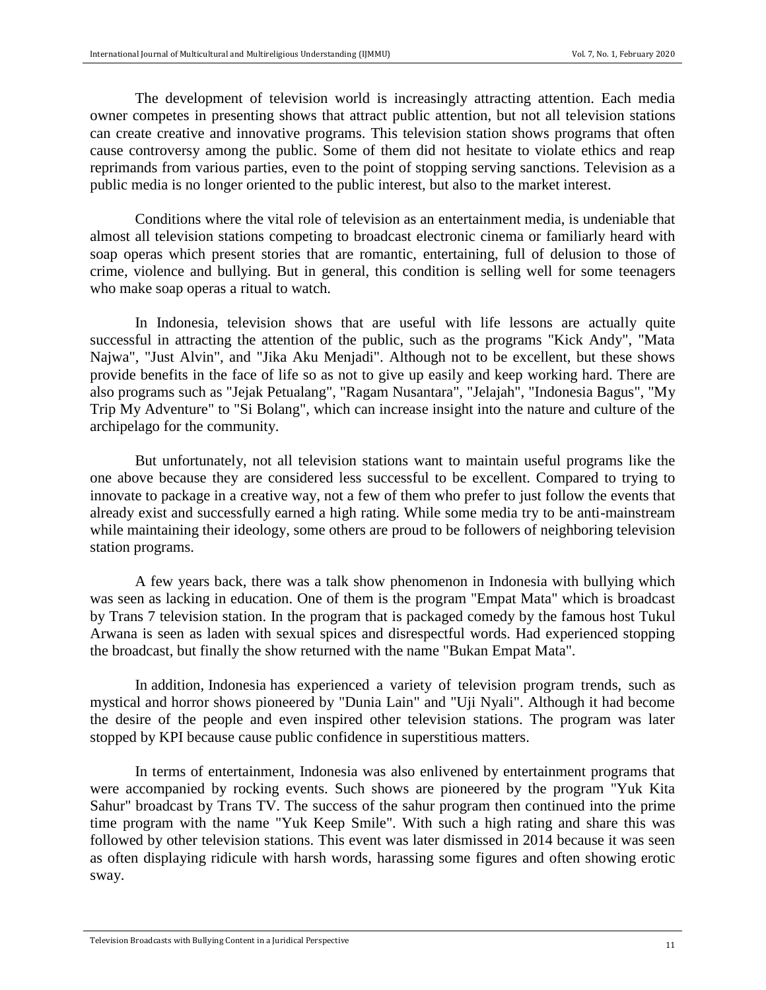The development of television world is increasingly attracting attention. Each media owner competes in presenting shows that attract public attention, but not all television stations can create creative and innovative programs. This television station shows programs that often cause controversy among the public. Some of them did not hesitate to violate ethics and reap reprimands from various parties, even to the point of stopping serving sanctions. Television as a public media is no longer oriented to the public interest, but also to the market interest.

Conditions where the vital role of television as an entertainment media, is undeniable that almost all television stations competing to broadcast electronic cinema or familiarly heard with soap operas which present stories that are romantic, entertaining, full of delusion to those of crime, violence and bullying. But in general, this condition is selling well for some teenagers who make soap operas a ritual to watch.

In Indonesia, television shows that are useful with life lessons are actually quite successful in attracting the attention of the public, such as the programs "Kick Andy", "Mata Najwa", "Just Alvin", and "Jika Aku Menjadi". Although not to be excellent, but these shows provide benefits in the face of life so as not to give up easily and keep working hard. There are also programs such as "Jejak Petualang", "Ragam Nusantara", "Jelajah", "Indonesia Bagus", "My Trip My Adventure" to "Si Bolang", which can increase insight into the nature and culture of the archipelago for the community.

But unfortunately, not all television stations want to maintain useful programs like the one above because they are considered less successful to be excellent. Compared to trying to innovate to package in a creative way, not a few of them who prefer to just follow the events that already exist and successfully earned a high rating. While some media try to be anti-mainstream while maintaining their ideology, some others are proud to be followers of neighboring television station programs.

A few years back, there was a talk show phenomenon in Indonesia with bullying which was seen as lacking in education. One of them is the program "Empat Mata" which is broadcast by Trans 7 television station. In the program that is packaged comedy by the famous host Tukul Arwana is seen as laden with sexual spices and disrespectful words. Had experienced stopping the broadcast, but finally the show returned with the name "Bukan Empat Mata".

In addition, Indonesia has experienced a variety of television program trends, such as mystical and horror shows pioneered by "Dunia Lain" and "Uji Nyali". Although it had become the desire of the people and even inspired other television stations. The program was later stopped by KPI because cause public confidence in superstitious matters.

In terms of entertainment, Indonesia was also enlivened by entertainment programs that were accompanied by rocking events. Such shows are pioneered by the program "Yuk Kita Sahur" broadcast by Trans TV. The success of the sahur program then continued into the prime time program with the name "Yuk Keep Smile". With such a high rating and share this was followed by other television stations. This event was later dismissed in 2014 because it was seen as often displaying ridicule with harsh words, harassing some figures and often showing erotic sway.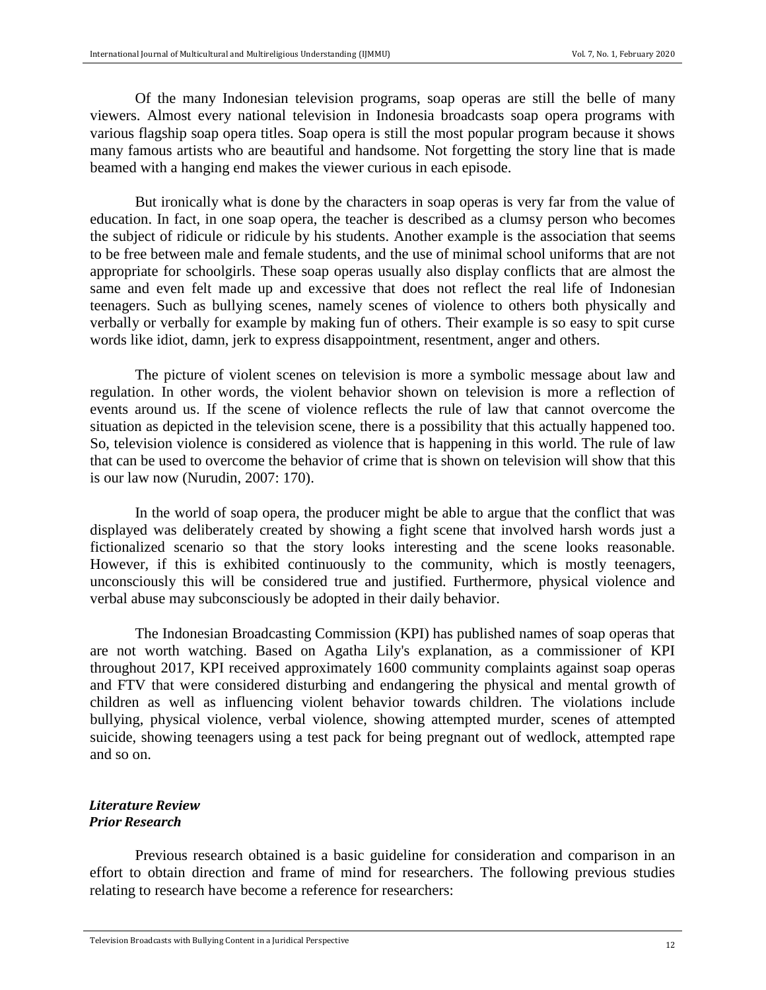Of the many Indonesian television programs, soap operas are still the belle of many viewers. Almost every national television in Indonesia broadcasts soap opera programs with various flagship soap opera titles. Soap opera is still the most popular program because it shows many famous artists who are beautiful and handsome. Not forgetting the story line that is made beamed with a hanging end makes the viewer curious in each episode.

But ironically what is done by the characters in soap operas is very far from the value of education. In fact, in one soap opera, the teacher is described as a clumsy person who becomes the subject of ridicule or ridicule by his students. Another example is the association that seems to be free between male and female students, and the use of minimal school uniforms that are not appropriate for schoolgirls. These soap operas usually also display conflicts that are almost the same and even felt made up and excessive that does not reflect the real life of Indonesian teenagers. Such as bullying scenes, namely scenes of violence to others both physically and verbally or verbally for example by making fun of others. Their example is so easy to spit curse words like idiot, damn, jerk to express disappointment, resentment, anger and others.

The picture of violent scenes on television is more a symbolic message about law and regulation. In other words, the violent behavior shown on television is more a reflection of events around us. If the scene of violence reflects the rule of law that cannot overcome the situation as depicted in the television scene, there is a possibility that this actually happened too. So, television violence is considered as violence that is happening in this world. The rule of law that can be used to overcome the behavior of crime that is shown on television will show that this is our law now (Nurudin, 2007: 170).

In the world of soap opera, the producer might be able to argue that the conflict that was displayed was deliberately created by showing a fight scene that involved harsh words just a fictionalized scenario so that the story looks interesting and the scene looks reasonable. However, if this is exhibited continuously to the community, which is mostly teenagers, unconsciously this will be considered true and justified. Furthermore, physical violence and verbal abuse may subconsciously be adopted in their daily behavior.

The Indonesian Broadcasting Commission (KPI) has published names of soap operas that are not worth watching. Based on Agatha Lily's explanation, as a commissioner of KPI throughout 2017, KPI received approximately 1600 community complaints against soap operas and FTV that were considered disturbing and endangering the physical and mental growth of children as well as influencing violent behavior towards children. The violations include bullying, physical violence, verbal violence, showing attempted murder, scenes of attempted suicide, showing teenagers using a test pack for being pregnant out of wedlock, attempted rape and so on.

## *Literature Review Prior Research*

Previous research obtained is a basic guideline for consideration and comparison in an effort to obtain direction and frame of mind for researchers. The following previous studies relating to research have become a reference for researchers: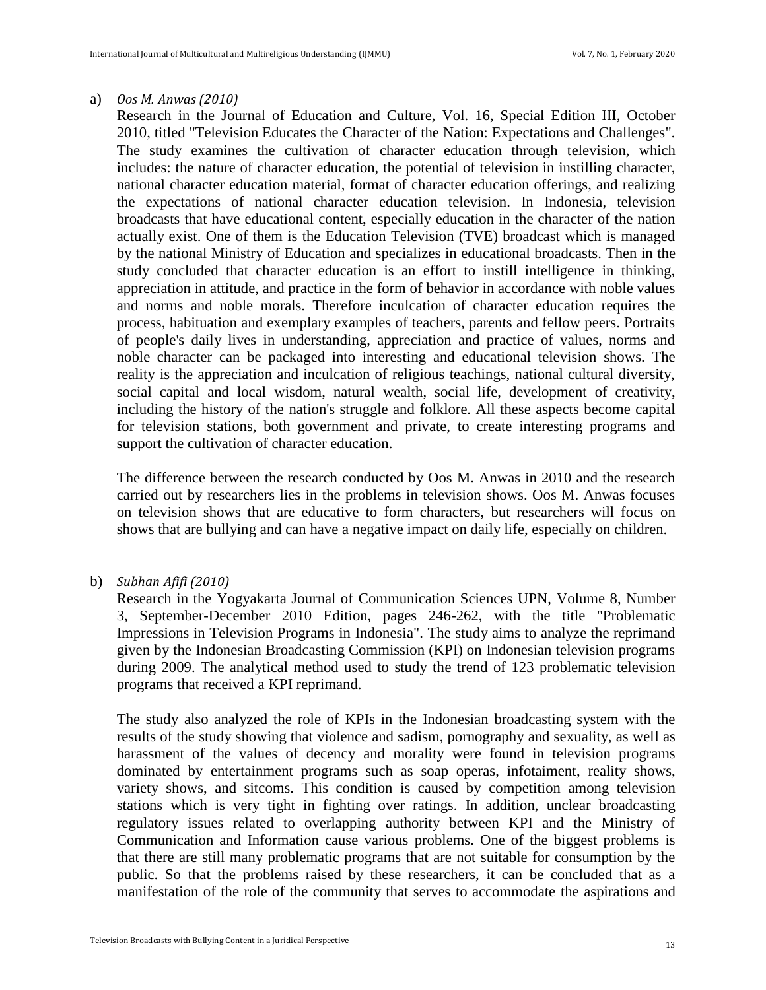## a) *Oos M. Anwas (2010)*

Research in the Journal of Education and Culture, Vol. 16, Special Edition III, October 2010, titled "Television Educates the Character of the Nation: Expectations and Challenges". The study examines the cultivation of character education through television, which includes: the nature of character education, the potential of television in instilling character, national character education material, format of character education offerings, and realizing the expectations of national character education television. In Indonesia, television broadcasts that have educational content, especially education in the character of the nation actually exist. One of them is the Education Television (TVE) broadcast which is managed by the national Ministry of Education and specializes in educational broadcasts. Then in the study concluded that character education is an effort to instill intelligence in thinking, appreciation in attitude, and practice in the form of behavior in accordance with noble values and norms and noble morals. Therefore inculcation of character education requires the process, habituation and exemplary examples of teachers, parents and fellow peers. Portraits of people's daily lives in understanding, appreciation and practice of values, norms and noble character can be packaged into interesting and educational television shows. The reality is the appreciation and inculcation of religious teachings, national cultural diversity, social capital and local wisdom, natural wealth, social life, development of creativity, including the history of the nation's struggle and folklore. All these aspects become capital for television stations, both government and private, to create interesting programs and support the cultivation of character education.

The difference between the research conducted by Oos M. Anwas in 2010 and the research carried out by researchers lies in the problems in television shows. Oos M. Anwas focuses on television shows that are educative to form characters, but researchers will focus on shows that are bullying and can have a negative impact on daily life, especially on children.

# b) *Subhan Afifi (2010)*

Research in the Yogyakarta Journal of Communication Sciences UPN, Volume 8, Number 3, September-December 2010 Edition, pages 246-262, with the title "Problematic Impressions in Television Programs in Indonesia". The study aims to analyze the reprimand given by the Indonesian Broadcasting Commission (KPI) on Indonesian television programs during 2009. The analytical method used to study the trend of 123 problematic television programs that received a KPI reprimand.

The study also analyzed the role of KPIs in the Indonesian broadcasting system with the results of the study showing that violence and sadism, pornography and sexuality, as well as harassment of the values of decency and morality were found in television programs dominated by entertainment programs such as soap operas, infotaiment, reality shows, variety shows, and sitcoms. This condition is caused by competition among television stations which is very tight in fighting over ratings. In addition, unclear broadcasting regulatory issues related to overlapping authority between KPI and the Ministry of Communication and Information cause various problems. One of the biggest problems is that there are still many problematic programs that are not suitable for consumption by the public. So that the problems raised by these researchers, it can be concluded that as a manifestation of the role of the community that serves to accommodate the aspirations and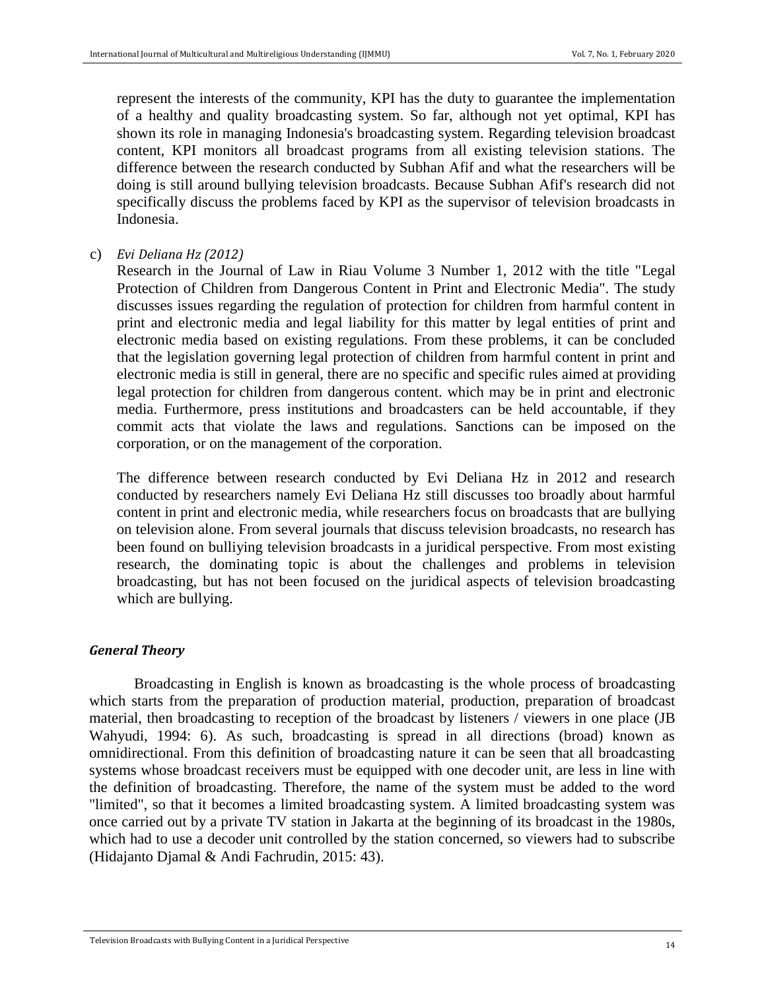represent the interests of the community, KPI has the duty to guarantee the implementation of a healthy and quality broadcasting system. So far, although not yet optimal, KPI has shown its role in managing Indonesia's broadcasting system. Regarding television broadcast content, KPI monitors all broadcast programs from all existing television stations. The difference between the research conducted by Subhan Afif and what the researchers will be doing is still around bullying television broadcasts. Because Subhan Afif's research did not specifically discuss the problems faced by KPI as the supervisor of television broadcasts in Indonesia.

c) *Evi Deliana Hz (2012)*

Research in the Journal of Law in Riau Volume 3 Number 1, 2012 with the title "Legal Protection of Children from Dangerous Content in Print and Electronic Media". The study discusses issues regarding the regulation of protection for children from harmful content in print and electronic media and legal liability for this matter by legal entities of print and electronic media based on existing regulations. From these problems, it can be concluded that the legislation governing legal protection of children from harmful content in print and electronic media is still in general, there are no specific and specific rules aimed at providing legal protection for children from dangerous content. which may be in print and electronic media. Furthermore, press institutions and broadcasters can be held accountable, if they commit acts that violate the laws and regulations. Sanctions can be imposed on the corporation, or on the management of the corporation.

The difference between research conducted by Evi Deliana Hz in 2012 and research conducted by researchers namely Evi Deliana Hz still discusses too broadly about harmful content in print and electronic media, while researchers focus on broadcasts that are bullying on television alone. From several journals that discuss television broadcasts, no research has been found on bulliying television broadcasts in a juridical perspective. From most existing research, the dominating topic is about the challenges and problems in television broadcasting, but has not been focused on the juridical aspects of television broadcasting which are bullying.

# *General Theory*

Broadcasting in English is known as broadcasting is the whole process of broadcasting which starts from the preparation of production material, production, preparation of broadcast material, then broadcasting to reception of the broadcast by listeners / viewers in one place (JB Wahyudi, 1994: 6). As such, broadcasting is spread in all directions (broad) known as omnidirectional. From this definition of broadcasting nature it can be seen that all broadcasting systems whose broadcast receivers must be equipped with one decoder unit, are less in line with the definition of broadcasting. Therefore, the name of the system must be added to the word "limited", so that it becomes a limited broadcasting system. A limited broadcasting system was once carried out by a private TV station in Jakarta at the beginning of its broadcast in the 1980s, which had to use a decoder unit controlled by the station concerned, so viewers had to subscribe (Hidajanto Djamal & Andi Fachrudin, 2015: 43).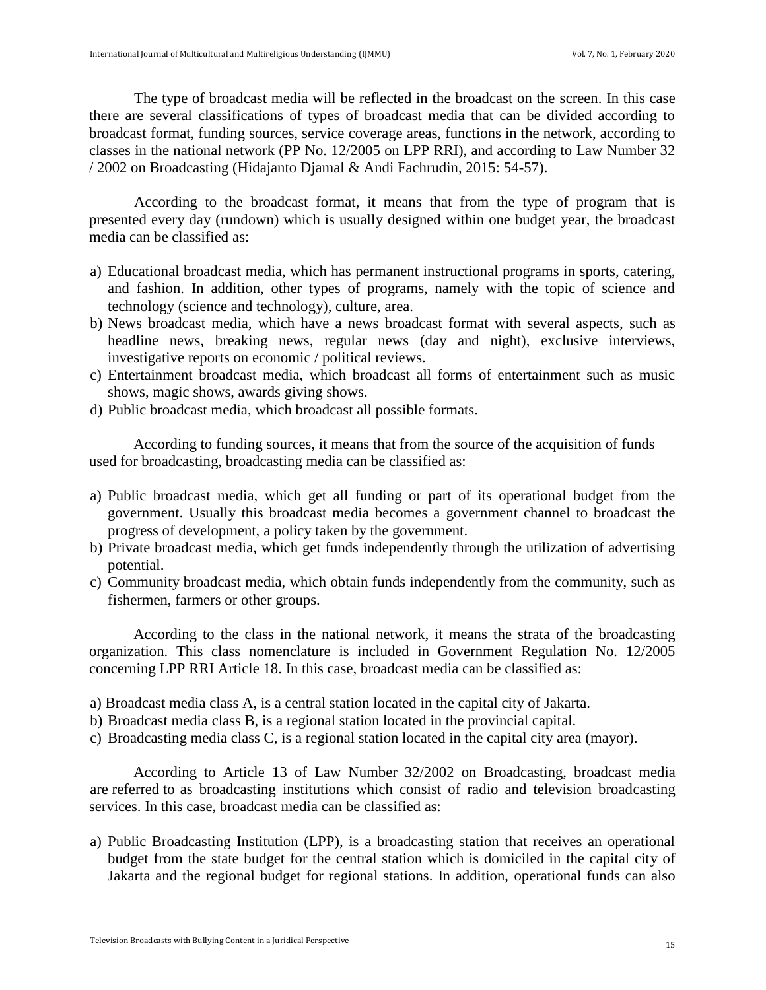The type of broadcast media will be reflected in the broadcast on the screen. In this case there are several classifications of types of broadcast media that can be divided according to broadcast format, funding sources, service coverage areas, functions in the network, according to classes in the national network (PP No. 12/2005 on LPP RRI), and according to Law Number 32 / 2002 on Broadcasting (Hidajanto Djamal & Andi Fachrudin, 2015: 54-57).

According to the broadcast format, it means that from the type of program that is presented every day (rundown) which is usually designed within one budget year, the broadcast media can be classified as:

- a) Educational broadcast media, which has permanent instructional programs in sports, catering, and fashion. In addition, other types of programs, namely with the topic of science and technology (science and technology), culture, area.
- b) News broadcast media, which have a news broadcast format with several aspects, such as headline news, breaking news, regular news (day and night), exclusive interviews, investigative reports on economic / political reviews.
- c) Entertainment broadcast media, which broadcast all forms of entertainment such as music shows, magic shows, awards giving shows.
- d) Public broadcast media, which broadcast all possible formats.

According to funding sources, it means that from the source of the acquisition of funds used for broadcasting, broadcasting media can be classified as:

- a) Public broadcast media, which get all funding or part of its operational budget from the government. Usually this broadcast media becomes a government channel to broadcast the progress of development, a policy taken by the government.
- b) Private broadcast media, which get funds independently through the utilization of advertising potential.
- c) Community broadcast media, which obtain funds independently from the community, such as fishermen, farmers or other groups.

According to the class in the national network, it means the strata of the broadcasting organization. This class nomenclature is included in Government Regulation No. 12/2005 concerning LPP RRI Article 18. In this case, broadcast media can be classified as:

- a) Broadcast media class A, is a central station located in the capital city of Jakarta.
- b) Broadcast media class B, is a regional station located in the provincial capital.
- c) Broadcasting media class C, is a regional station located in the capital city area (mayor).

According to Article 13 of Law Number 32/2002 on Broadcasting, broadcast media are referred to as broadcasting institutions which consist of radio and television broadcasting services. In this case, broadcast media can be classified as:

a) Public Broadcasting Institution (LPP), is a broadcasting station that receives an operational budget from the state budget for the central station which is domiciled in the capital city of Jakarta and the regional budget for regional stations. In addition, operational funds can also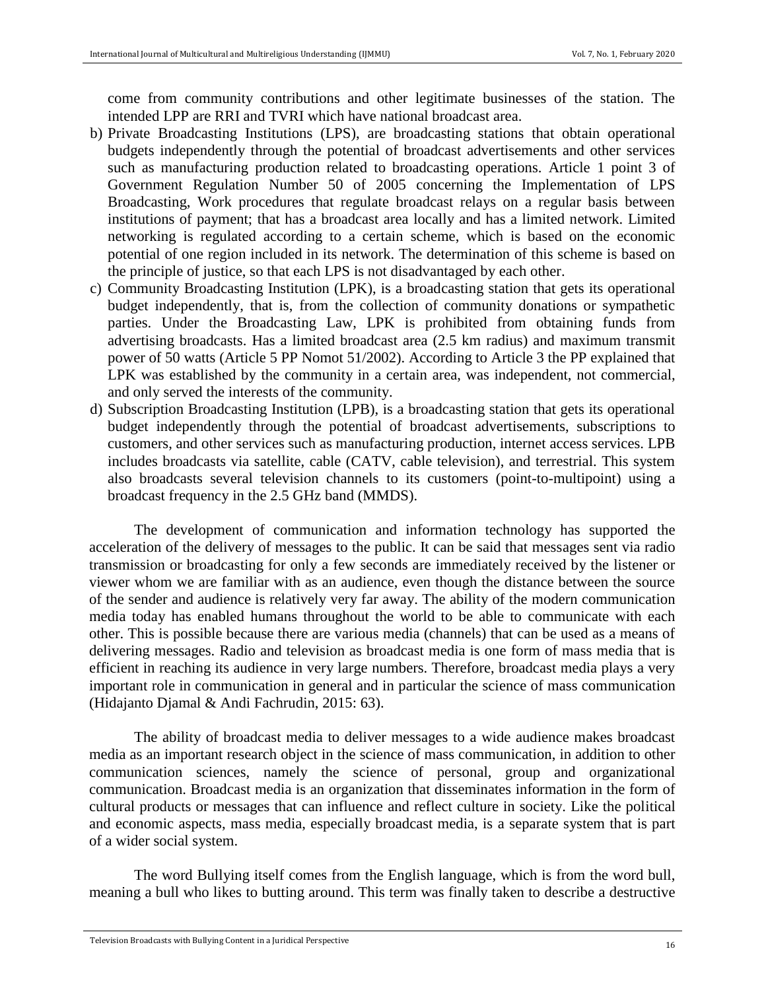come from community contributions and other legitimate businesses of the station. The intended LPP are RRI and TVRI which have national broadcast area.

- b) Private Broadcasting Institutions (LPS), are broadcasting stations that obtain operational budgets independently through the potential of broadcast advertisements and other services such as manufacturing production related to broadcasting operations. Article 1 point 3 of Government Regulation Number 50 of 2005 concerning the Implementation of LPS Broadcasting, Work procedures that regulate broadcast relays on a regular basis between institutions of payment; that has a broadcast area locally and has a limited network. Limited networking is regulated according to a certain scheme, which is based on the economic potential of one region included in its network. The determination of this scheme is based on the principle of justice, so that each LPS is not disadvantaged by each other.
- c) Community Broadcasting Institution (LPK), is a broadcasting station that gets its operational budget independently, that is, from the collection of community donations or sympathetic parties. Under the Broadcasting Law, LPK is prohibited from obtaining funds from advertising broadcasts. Has a limited broadcast area (2.5 km radius) and maximum transmit power of 50 watts (Article 5 PP Nomot 51/2002). According to Article 3 the PP explained that LPK was established by the community in a certain area, was independent, not commercial, and only served the interests of the community.
- d) Subscription Broadcasting Institution (LPB), is a broadcasting station that gets its operational budget independently through the potential of broadcast advertisements, subscriptions to customers, and other services such as manufacturing production, internet access services. LPB includes broadcasts via satellite, cable (CATV, cable television), and terrestrial. This system also broadcasts several television channels to its customers (point-to-multipoint) using a broadcast frequency in the 2.5 GHz band (MMDS).

The development of communication and information technology has supported the acceleration of the delivery of messages to the public. It can be said that messages sent via radio transmission or broadcasting for only a few seconds are immediately received by the listener or viewer whom we are familiar with as an audience, even though the distance between the source of the sender and audience is relatively very far away. The ability of the modern communication media today has enabled humans throughout the world to be able to communicate with each other. This is possible because there are various media (channels) that can be used as a means of delivering messages. Radio and television as broadcast media is one form of mass media that is efficient in reaching its audience in very large numbers. Therefore, broadcast media plays a very important role in communication in general and in particular the science of mass communication (Hidajanto Djamal & Andi Fachrudin, 2015: 63).

The ability of broadcast media to deliver messages to a wide audience makes broadcast media as an important research object in the science of mass communication, in addition to other communication sciences, namely the science of personal, group and organizational communication. Broadcast media is an organization that disseminates information in the form of cultural products or messages that can influence and reflect culture in society. Like the political and economic aspects, mass media, especially broadcast media, is a separate system that is part of a wider social system.

The word Bullying itself comes from the English language, which is from the word bull, meaning a bull who likes to butting around. This term was finally taken to describe a destructive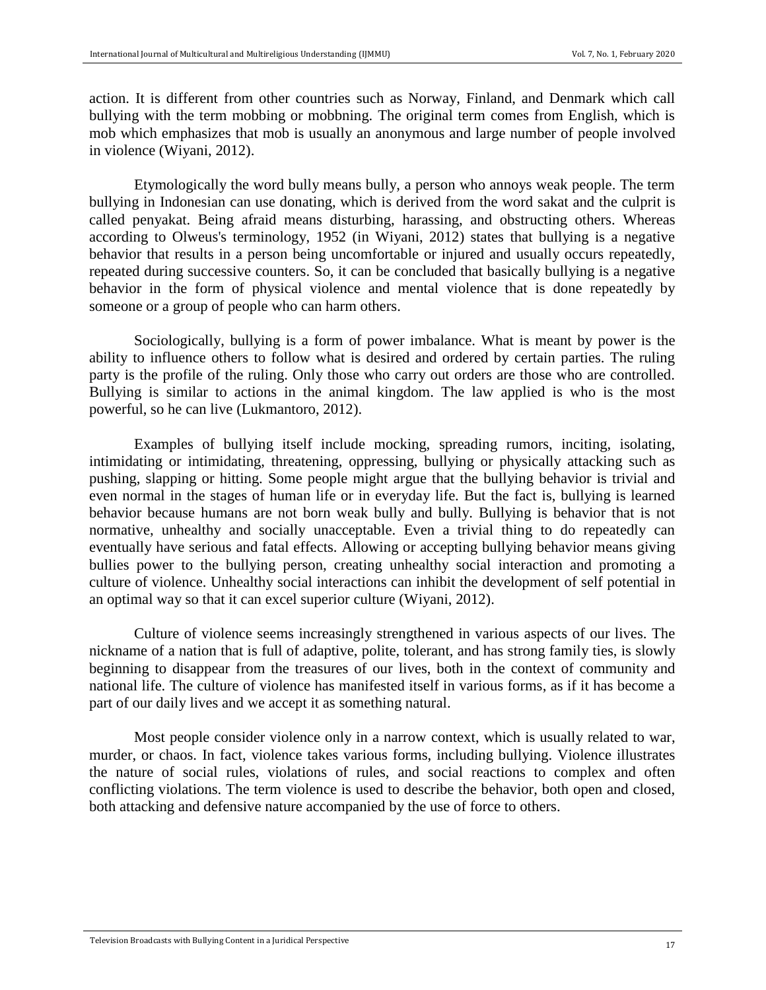action. It is different from other countries such as Norway, Finland, and Denmark which call bullying with the term mobbing or mobbning. The original term comes from English, which is mob which emphasizes that mob is usually an anonymous and large number of people involved in violence (Wiyani, 2012).

Etymologically the word bully means bully, a person who annoys weak people. The term bullying in Indonesian can use donating, which is derived from the word sakat and the culprit is called penyakat. Being afraid means disturbing, harassing, and obstructing others. Whereas according to Olweus's terminology, 1952 (in Wiyani, 2012) states that bullying is a negative behavior that results in a person being uncomfortable or injured and usually occurs repeatedly, repeated during successive counters. So, it can be concluded that basically bullying is a negative behavior in the form of physical violence and mental violence that is done repeatedly by someone or a group of people who can harm others.

Sociologically, bullying is a form of power imbalance. What is meant by power is the ability to influence others to follow what is desired and ordered by certain parties. The ruling party is the profile of the ruling. Only those who carry out orders are those who are controlled. Bullying is similar to actions in the animal kingdom. The law applied is who is the most powerful, so he can live (Lukmantoro, 2012).

Examples of bullying itself include mocking, spreading rumors, inciting, isolating, intimidating or intimidating, threatening, oppressing, bullying or physically attacking such as pushing, slapping or hitting. Some people might argue that the bullying behavior is trivial and even normal in the stages of human life or in everyday life. But the fact is, bullying is learned behavior because humans are not born weak bully and bully. Bullying is behavior that is not normative, unhealthy and socially unacceptable. Even a trivial thing to do repeatedly can eventually have serious and fatal effects. Allowing or accepting bullying behavior means giving bullies power to the bullying person, creating unhealthy social interaction and promoting a culture of violence. Unhealthy social interactions can inhibit the development of self potential in an optimal way so that it can excel superior culture (Wiyani, 2012).

Culture of violence seems increasingly strengthened in various aspects of our lives. The nickname of a nation that is full of adaptive, polite, tolerant, and has strong family ties, is slowly beginning to disappear from the treasures of our lives, both in the context of community and national life. The culture of violence has manifested itself in various forms, as if it has become a part of our daily lives and we accept it as something natural.

Most people consider violence only in a narrow context, which is usually related to war, murder, or chaos. In fact, violence takes various forms, including bullying. Violence illustrates the nature of social rules, violations of rules, and social reactions to complex and often conflicting violations. The term violence is used to describe the behavior, both open and closed, both attacking and defensive nature accompanied by the use of force to others.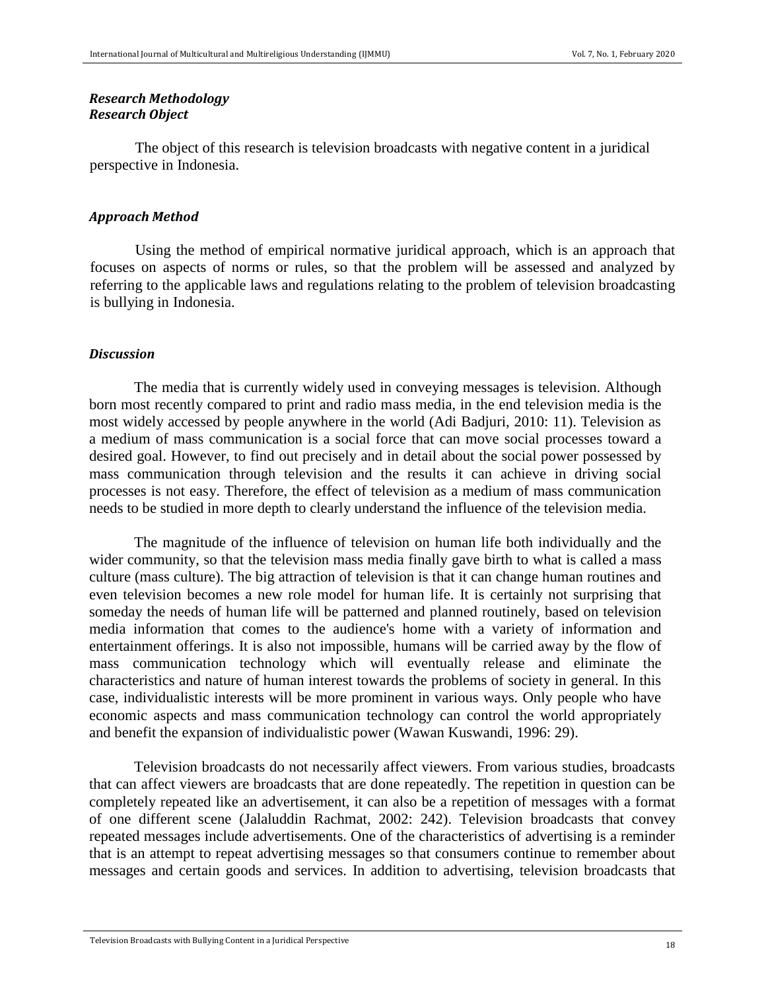## *Research Methodology Research Object*

The object of this research is television broadcasts with negative content in a juridical perspective in Indonesia.

#### *Approach Method*

Using the method of empirical normative juridical approach, which is an approach that focuses on aspects of norms or rules, so that the problem will be assessed and analyzed by referring to the applicable laws and regulations relating to the problem of television broadcasting is bullying in Indonesia.

#### *Discussion*

The media that is currently widely used in conveying messages is television. Although born most recently compared to print and radio mass media, in the end television media is the most widely accessed by people anywhere in the world (Adi Badjuri, 2010: 11). Television as a medium of mass communication is a social force that can move social processes toward a desired goal. However, to find out precisely and in detail about the social power possessed by mass communication through television and the results it can achieve in driving social processes is not easy. Therefore, the effect of television as a medium of mass communication needs to be studied in more depth to clearly understand the influence of the television media.

The magnitude of the influence of television on human life both individually and the wider community, so that the television mass media finally gave birth to what is called a mass culture (mass culture). The big attraction of television is that it can change human routines and even television becomes a new role model for human life. It is certainly not surprising that someday the needs of human life will be patterned and planned routinely, based on television media information that comes to the audience's home with a variety of information and entertainment offerings. It is also not impossible, humans will be carried away by the flow of mass communication technology which will eventually release and eliminate the characteristics and nature of human interest towards the problems of society in general. In this case, individualistic interests will be more prominent in various ways. Only people who have economic aspects and mass communication technology can control the world appropriately and benefit the expansion of individualistic power (Wawan Kuswandi, 1996: 29).

Television broadcasts do not necessarily affect viewers. From various studies, broadcasts that can affect viewers are broadcasts that are done repeatedly. The repetition in question can be completely repeated like an advertisement, it can also be a repetition of messages with a format of one different scene (Jalaluddin Rachmat, 2002: 242). Television broadcasts that convey repeated messages include advertisements. One of the characteristics of advertising is a reminder that is an attempt to repeat advertising messages so that consumers continue to remember about messages and certain goods and services. In addition to advertising, television broadcasts that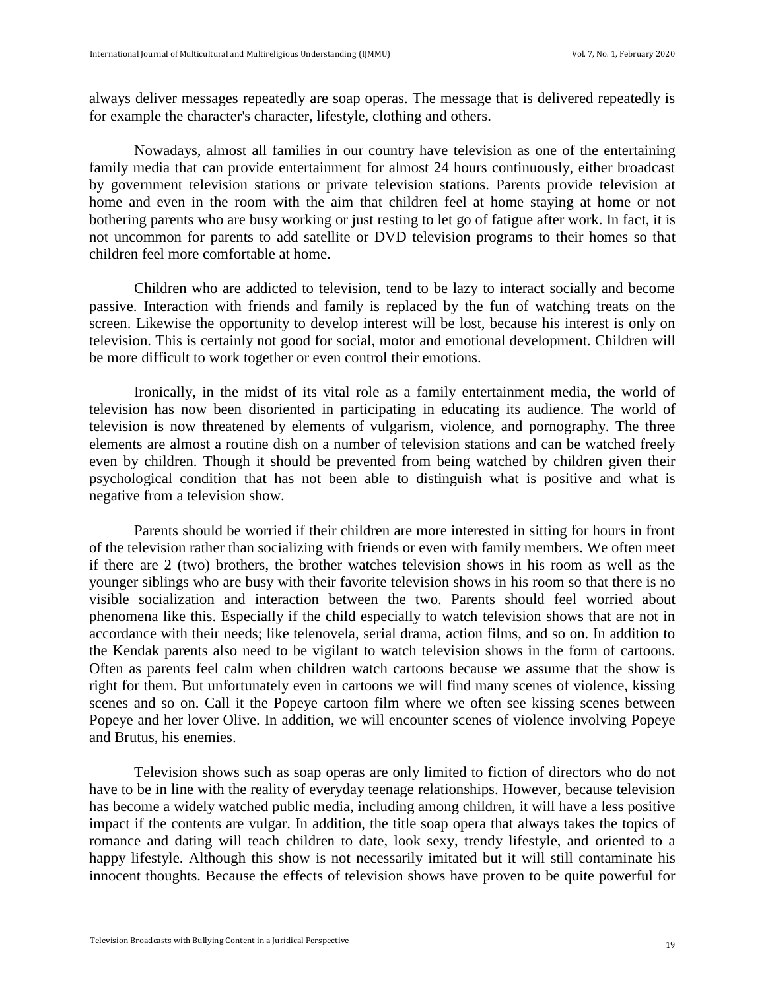always deliver messages repeatedly are soap operas. The message that is delivered repeatedly is for example the character's character, lifestyle, clothing and others.

Nowadays, almost all families in our country have television as one of the entertaining family media that can provide entertainment for almost 24 hours continuously, either broadcast by government television stations or private television stations. Parents provide television at home and even in the room with the aim that children feel at home staying at home or not bothering parents who are busy working or just resting to let go of fatigue after work. In fact, it is not uncommon for parents to add satellite or DVD television programs to their homes so that children feel more comfortable at home.

Children who are addicted to television, tend to be lazy to interact socially and become passive. Interaction with friends and family is replaced by the fun of watching treats on the screen. Likewise the opportunity to develop interest will be lost, because his interest is only on television. This is certainly not good for social, motor and emotional development. Children will be more difficult to work together or even control their emotions.

Ironically, in the midst of its vital role as a family entertainment media, the world of television has now been disoriented in participating in educating its audience. The world of television is now threatened by elements of vulgarism, violence, and pornography. The three elements are almost a routine dish on a number of television stations and can be watched freely even by children. Though it should be prevented from being watched by children given their psychological condition that has not been able to distinguish what is positive and what is negative from a television show.

Parents should be worried if their children are more interested in sitting for hours in front of the television rather than socializing with friends or even with family members. We often meet if there are 2 (two) brothers, the brother watches television shows in his room as well as the younger siblings who are busy with their favorite television shows in his room so that there is no visible socialization and interaction between the two. Parents should feel worried about phenomena like this. Especially if the child especially to watch television shows that are not in accordance with their needs; like telenovela, serial drama, action films, and so on. In addition to the Kendak parents also need to be vigilant to watch television shows in the form of cartoons. Often as parents feel calm when children watch cartoons because we assume that the show is right for them. But unfortunately even in cartoons we will find many scenes of violence, kissing scenes and so on. Call it the Popeye cartoon film where we often see kissing scenes between Popeye and her lover Olive. In addition, we will encounter scenes of violence involving Popeye and Brutus, his enemies.

Television shows such as soap operas are only limited to fiction of directors who do not have to be in line with the reality of everyday teenage relationships. However, because television has become a widely watched public media, including among children, it will have a less positive impact if the contents are vulgar. In addition, the title soap opera that always takes the topics of romance and dating will teach children to date, look sexy, trendy lifestyle, and oriented to a happy lifestyle. Although this show is not necessarily imitated but it will still contaminate his innocent thoughts. Because the effects of television shows have proven to be quite powerful for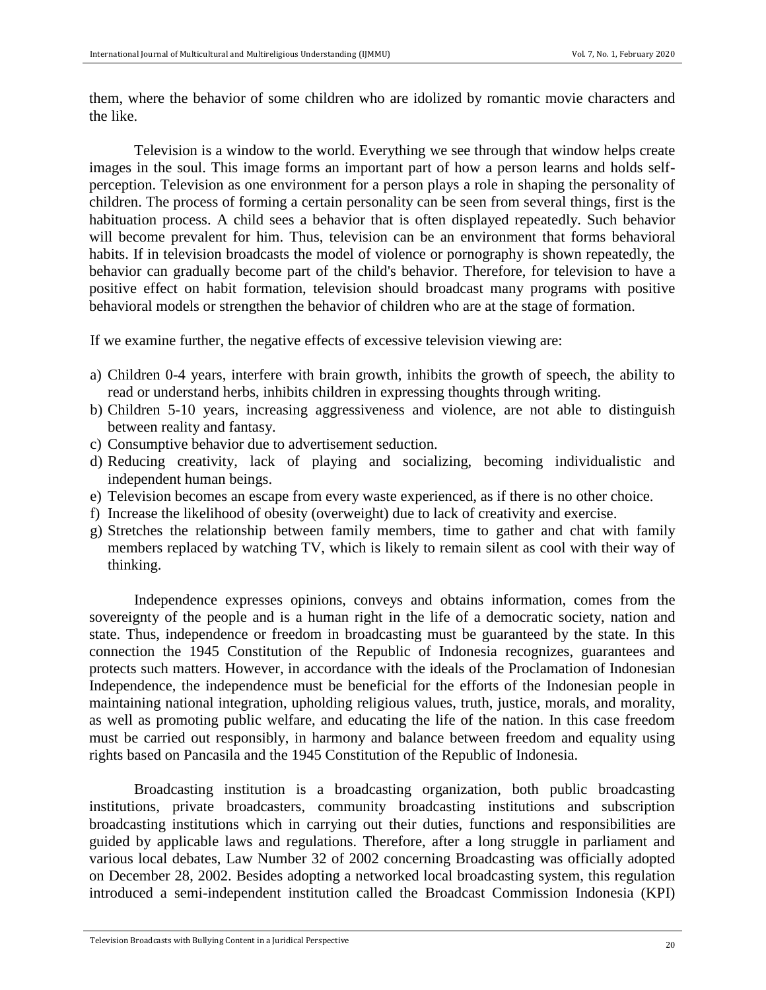them, where the behavior of some children who are idolized by romantic movie characters and the like.

Television is a window to the world. Everything we see through that window helps create images in the soul. This image forms an important part of how a person learns and holds selfperception. Television as one environment for a person plays a role in shaping the personality of children. The process of forming a certain personality can be seen from several things, first is the habituation process. A child sees a behavior that is often displayed repeatedly. Such behavior will become prevalent for him. Thus, television can be an environment that forms behavioral habits. If in television broadcasts the model of violence or pornography is shown repeatedly, the behavior can gradually become part of the child's behavior. Therefore, for television to have a positive effect on habit formation, television should broadcast many programs with positive behavioral models or strengthen the behavior of children who are at the stage of formation.

If we examine further, the negative effects of excessive television viewing are:

- a) Children 0-4 years, interfere with brain growth, inhibits the growth of speech, the ability to read or understand herbs, inhibits children in expressing thoughts through writing.
- b) Children 5-10 years, increasing aggressiveness and violence, are not able to distinguish between reality and fantasy.
- c) Consumptive behavior due to advertisement seduction.
- d) Reducing creativity, lack of playing and socializing, becoming individualistic and independent human beings.
- e) Television becomes an escape from every waste experienced, as if there is no other choice.
- f) Increase the likelihood of obesity (overweight) due to lack of creativity and exercise.
- g) Stretches the relationship between family members, time to gather and chat with family members replaced by watching TV, which is likely to remain silent as cool with their way of thinking.

Independence expresses opinions, conveys and obtains information, comes from the sovereignty of the people and is a human right in the life of a democratic society, nation and state. Thus, independence or freedom in broadcasting must be guaranteed by the state. In this connection the 1945 Constitution of the Republic of Indonesia recognizes, guarantees and protects such matters. However, in accordance with the ideals of the Proclamation of Indonesian Independence, the independence must be beneficial for the efforts of the Indonesian people in maintaining national integration, upholding religious values, truth, justice, morals, and morality, as well as promoting public welfare, and educating the life of the nation. In this case freedom must be carried out responsibly, in harmony and balance between freedom and equality using rights based on Pancasila and the 1945 Constitution of the Republic of Indonesia.

Broadcasting institution is a broadcasting organization, both public broadcasting institutions, private broadcasters, community broadcasting institutions and subscription broadcasting institutions which in carrying out their duties, functions and responsibilities are guided by applicable laws and regulations. Therefore, after a long struggle in parliament and various local debates, Law Number 32 of 2002 concerning Broadcasting was officially adopted on December 28, 2002. Besides adopting a networked local broadcasting system, this regulation introduced a semi-independent institution called the Broadcast Commission Indonesia (KPI)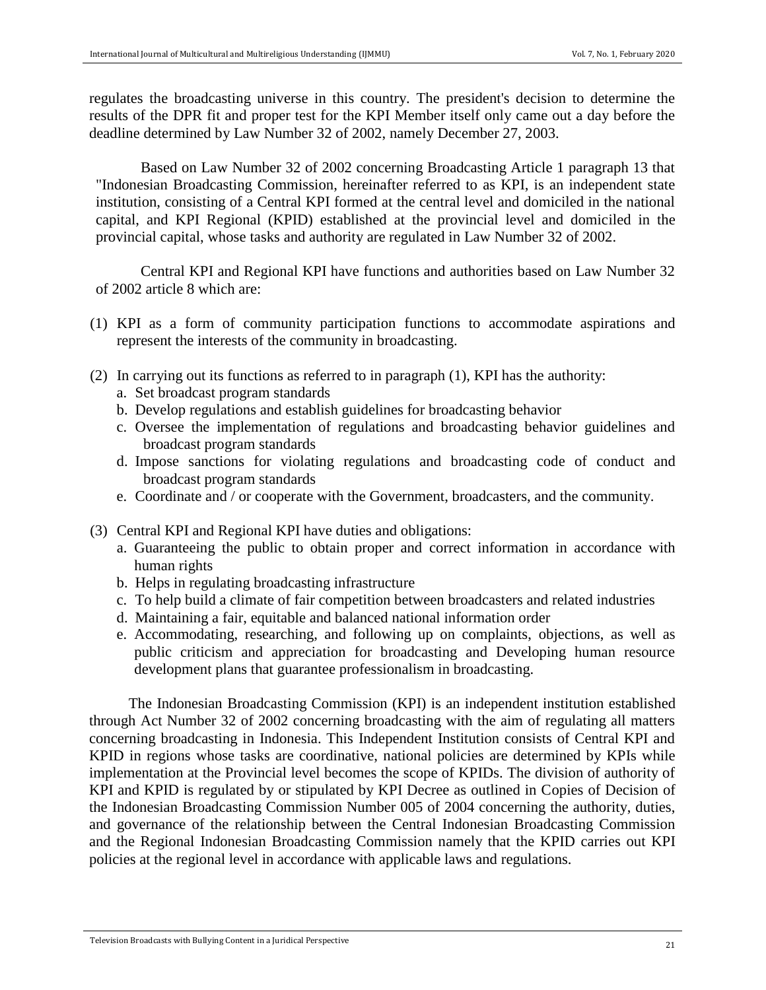regulates the broadcasting universe in this country. The president's decision to determine the results of the DPR fit and proper test for the KPI Member itself only came out a day before the deadline determined by Law Number 32 of 2002, namely December 27, 2003.

Based on Law Number 32 of 2002 concerning Broadcasting Article 1 paragraph 13 that "Indonesian Broadcasting Commission, hereinafter referred to as KPI, is an independent state institution, consisting of a Central KPI formed at the central level and domiciled in the national capital, and KPI Regional (KPID) established at the provincial level and domiciled in the provincial capital, whose tasks and authority are regulated in Law Number 32 of 2002.

Central KPI and Regional KPI have functions and authorities based on Law Number 32 of 2002 article 8 which are:

- (1) KPI as a form of community participation functions to accommodate aspirations and represent the interests of the community in broadcasting.
- (2) In carrying out its functions as referred to in paragraph (1), KPI has the authority:
	- a. Set broadcast program standards
	- b. Develop regulations and establish guidelines for broadcasting behavior
	- c. Oversee the implementation of regulations and broadcasting behavior guidelines and broadcast program standards
	- d. Impose sanctions for violating regulations and broadcasting code of conduct and broadcast program standards
	- e. Coordinate and / or cooperate with the Government, broadcasters, and the community.
- (3) Central KPI and Regional KPI have duties and obligations:
	- a. Guaranteeing the public to obtain proper and correct information in accordance with human rights
	- b. Helps in regulating broadcasting infrastructure
	- c. To help build a climate of fair competition between broadcasters and related industries
	- d. Maintaining a fair, equitable and balanced national information order
	- e. Accommodating, researching, and following up on complaints, objections, as well as public criticism and appreciation for broadcasting and Developing human resource development plans that guarantee professionalism in broadcasting.

The Indonesian Broadcasting Commission (KPI) is an independent institution established through Act Number 32 of 2002 concerning broadcasting with the aim of regulating all matters concerning broadcasting in Indonesia. This Independent Institution consists of Central KPI and KPID in regions whose tasks are coordinative, national policies are determined by KPIs while implementation at the Provincial level becomes the scope of KPIDs. The division of authority of KPI and KPID is regulated by or stipulated by KPI Decree as outlined in Copies of Decision of the Indonesian Broadcasting Commission Number 005 of 2004 concerning the authority, duties, and governance of the relationship between the Central Indonesian Broadcasting Commission and the Regional Indonesian Broadcasting Commission namely that the KPID carries out KPI policies at the regional level in accordance with applicable laws and regulations.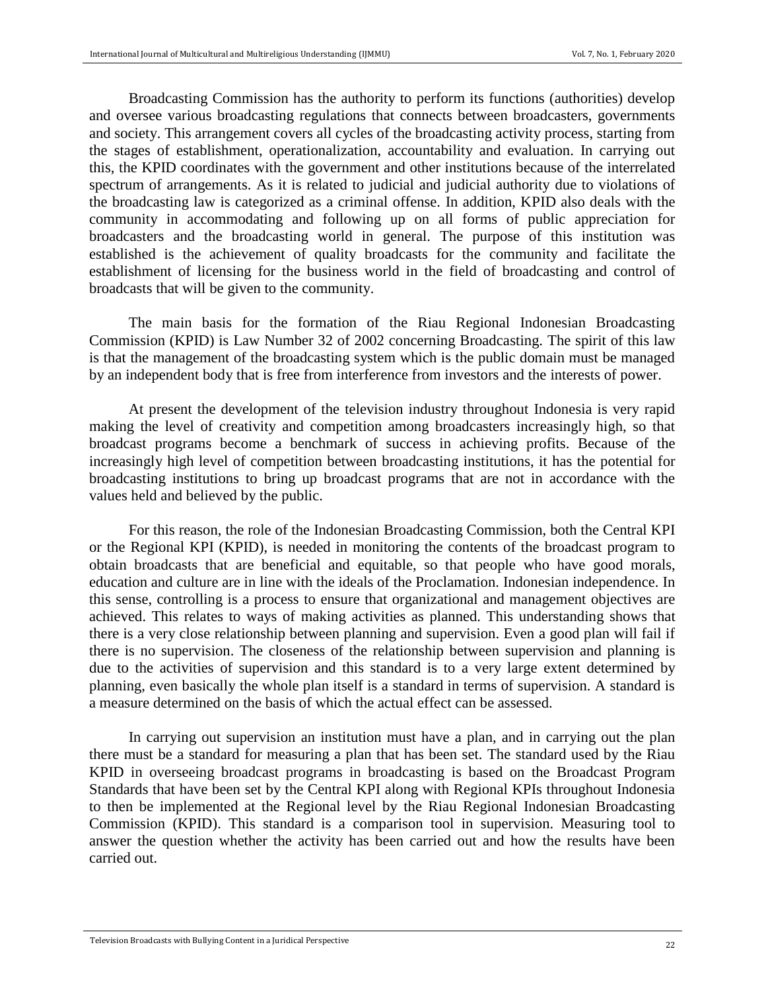Broadcasting Commission has the authority to perform its functions (authorities) develop and oversee various broadcasting regulations that connects between broadcasters, governments and society. This arrangement covers all cycles of the broadcasting activity process, starting from the stages of establishment, operationalization, accountability and evaluation. In carrying out this, the KPID coordinates with the government and other institutions because of the interrelated spectrum of arrangements. As it is related to judicial and judicial authority due to violations of the broadcasting law is categorized as a criminal offense. In addition, KPID also deals with the community in accommodating and following up on all forms of public appreciation for broadcasters and the broadcasting world in general. The purpose of this institution was established is the achievement of quality broadcasts for the community and facilitate the establishment of licensing for the business world in the field of broadcasting and control of broadcasts that will be given to the community.

The main basis for the formation of the Riau Regional Indonesian Broadcasting Commission (KPID) is Law Number 32 of 2002 concerning Broadcasting. The spirit of this law is that the management of the broadcasting system which is the public domain must be managed by an independent body that is free from interference from investors and the interests of power.

At present the development of the television industry throughout Indonesia is very rapid making the level of creativity and competition among broadcasters increasingly high, so that broadcast programs become a benchmark of success in achieving profits. Because of the increasingly high level of competition between broadcasting institutions, it has the potential for broadcasting institutions to bring up broadcast programs that are not in accordance with the values held and believed by the public.

For this reason, the role of the Indonesian Broadcasting Commission, both the Central KPI or the Regional KPI (KPID), is needed in monitoring the contents of the broadcast program to obtain broadcasts that are beneficial and equitable, so that people who have good morals, education and culture are in line with the ideals of the Proclamation. Indonesian independence. In this sense, controlling is a process to ensure that organizational and management objectives are achieved. This relates to ways of making activities as planned. This understanding shows that there is a very close relationship between planning and supervision. Even a good plan will fail if there is no supervision. The closeness of the relationship between supervision and planning is due to the activities of supervision and this standard is to a very large extent determined by planning, even basically the whole plan itself is a standard in terms of supervision. A standard is a measure determined on the basis of which the actual effect can be assessed.

In carrying out supervision an institution must have a plan, and in carrying out the plan there must be a standard for measuring a plan that has been set. The standard used by the Riau KPID in overseeing broadcast programs in broadcasting is based on the Broadcast Program Standards that have been set by the Central KPI along with Regional KPIs throughout Indonesia to then be implemented at the Regional level by the Riau Regional Indonesian Broadcasting Commission (KPID). This standard is a comparison tool in supervision. Measuring tool to answer the question whether the activity has been carried out and how the results have been carried out.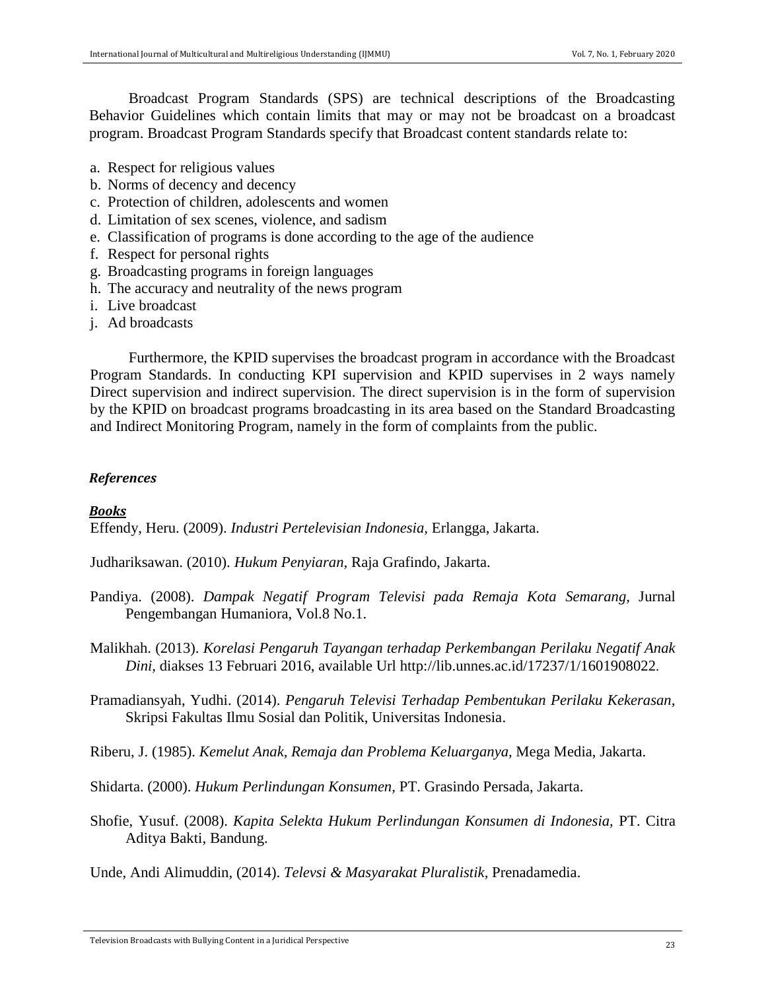Broadcast Program Standards (SPS) are technical descriptions of the Broadcasting Behavior Guidelines which contain limits that may or may not be broadcast on a broadcast program. Broadcast Program Standards specify that Broadcast content standards relate to:

- a. Respect for religious values
- b. Norms of decency and decency
- c. Protection of children, adolescents and women
- d. Limitation of sex scenes, violence, and sadism
- e. Classification of programs is done according to the age of the audience
- f. Respect for personal rights
- g. Broadcasting programs in foreign languages
- h. The accuracy and neutrality of the news program
- i. Live broadcast
- j. Ad broadcasts

Furthermore, the KPID supervises the broadcast program in accordance with the Broadcast Program Standards. In conducting KPI supervision and KPID supervises in 2 ways namely Direct supervision and indirect supervision. The direct supervision is in the form of supervision by the KPID on broadcast programs broadcasting in its area based on the Standard Broadcasting and Indirect Monitoring Program, namely in the form of complaints from the public.

#### *References*

#### *Books*

Effendy, Heru. (2009). *Industri Pertelevisian Indonesia,* Erlangga, Jakarta.

Judhariksawan. (2010). *Hukum Penyiaran,* Raja Grafindo, Jakarta.

Pandiya. (2008). *Dampak Negatif Program Televisi pada Remaja Kota Semarang,* Jurnal Pengembangan Humaniora, Vol.8 No.1.

Malikhah. (2013). *Korelasi Pengaruh Tayangan terhadap Perkembangan Perilaku Negatif Anak Dini,* diakses 13 Februari 2016, available Url<http://lib.unnes.ac.id/17237/1/1601908022>[.](http://lib.unnes.ac.id/17237/1/1601908022)

Pramadiansyah, Yudhi. (2014). *Pengaruh Televisi Terhadap Pembentukan Perilaku Kekerasan,*  Skripsi Fakultas Ilmu Sosial dan Politik, Universitas Indonesia.

Riberu, J. (1985). *Kemelut Anak, Remaja dan Problema Keluarganya,* Mega Media, Jakarta.

Shidarta. (2000). *Hukum Perlindungan Konsumen,* PT. Grasindo Persada, Jakarta.

Shofie, Yusuf. (2008). *Kapita Selekta Hukum Perlindungan Konsumen di Indonesia,* PT. Citra Aditya Bakti, Bandung.

Unde, Andi Alimuddin, (2014). *Televsi & Masyarakat Pluralistik,* Prenadamedia.